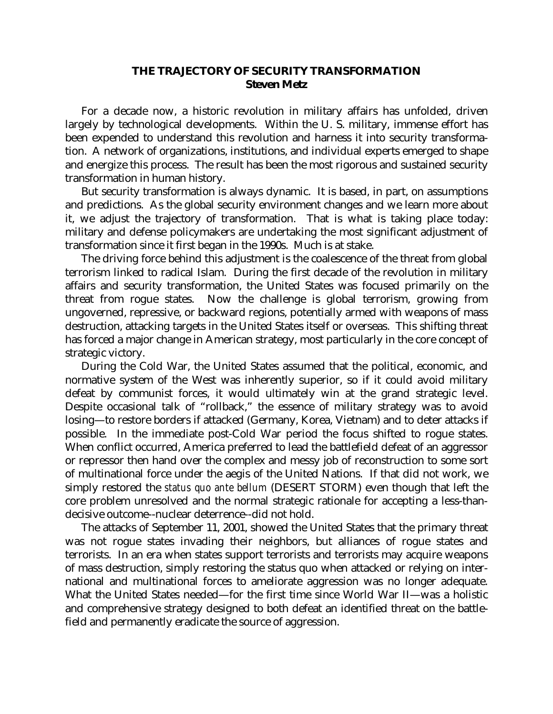## **THE TRAJECTORY OF SECURITY TRANSFORMATION Steven Metz**

 For a decade now, a historic revolution in military affairs has unfolded, driven largely by technological developments. Within the U. S. military, immense effort has been expended to understand this revolution and harness it into security transformation. A network of organizations, institutions, and individual experts emerged to shape and energize this process. The result has been the most rigorous and sustained security transformation in human history.

 But security transformation is always dynamic. It is based, in part, on assumptions and predictions. As the global security environment changes and we learn more about it, we adjust the trajectory of transformation. That is what is taking place today: military and defense policymakers are undertaking the most significant adjustment of transformation since it first began in the 1990s. Much is at stake.

 The driving force behind this adjustment is the coalescence of the threat from global terrorism linked to radical Islam. During the first decade of the revolution in military affairs and security transformation, the United States was focused primarily on the threat from rogue states. Now the challenge is global terrorism, growing from ungoverned, repressive, or backward regions, potentially armed with weapons of mass destruction, attacking targets in the United States itself or overseas. This shifting threat has forced a major change in American strategy, most particularly in the core concept of strategic victory.

 During the Cold War, the United States assumed that the political, economic, and normative system of the West was inherently superior, so if it could avoid military defeat by communist forces, it would ultimately win at the grand strategic level. Despite occasional talk of "rollback," the essence of military strategy was to avoid losing—to restore borders if attacked (Germany, Korea, Vietnam) and to deter attacks if possible. In the immediate post-Cold War period the focus shifted to rogue states. When conflict occurred, America preferred to lead the battlefield defeat of an aggressor or repressor then hand over the complex and messy job of reconstruction to some sort of multinational force under the aegis of the United Nations. If that did not work, we simply restored the *status quo ante bellum* (DESERT STORM) even though that left the core problem unresolved and the normal strategic rationale for accepting a less-thandecisive outcome--nuclear deterrence--did not hold.

 The attacks of September 11, 2001, showed the United States that the primary threat was not rogue states invading their neighbors, but alliances of rogue states and terrorists. In an era when states support terrorists and terrorists may acquire weapons of mass destruction, simply restoring the status quo when attacked or relying on international and multinational forces to ameliorate aggression was no longer adequate. What the United States needed—for the first time since World War II—was a holistic and comprehensive strategy designed to both defeat an identified threat on the battlefield and permanently eradicate the source of aggression.